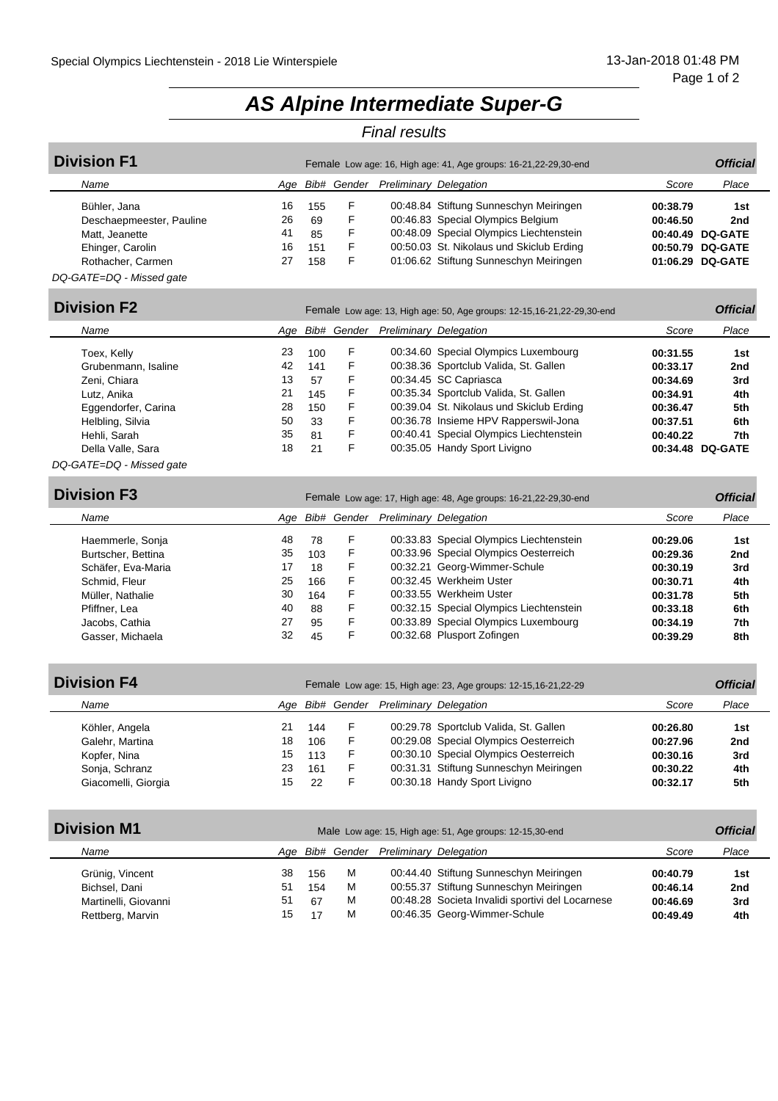# *AS Alpine Intermediate Super-G*

### *Final results*

| <b>Division F1</b>       |     | Female Low age: 16, High age: 41, Age groups: 16-21, 22-29, 30-end |   |                                           |                                          |          |                  |  |
|--------------------------|-----|--------------------------------------------------------------------|---|-------------------------------------------|------------------------------------------|----------|------------------|--|
| Name                     | Aae |                                                                    |   | <b>Bib# Gender Preliminary Delegation</b> |                                          | Score    | Place            |  |
| Bühler, Jana             | 16  | 155                                                                | F |                                           | 00:48.84 Stiftung Sunneschyn Meiringen   | 00:38.79 | 1st              |  |
| Deschaepmeester, Pauline | 26  | 69                                                                 | F |                                           | 00:46.83 Special Olympics Belgium        | 00:46.50 | 2nd              |  |
| Matt, Jeanette           | 41  | 85                                                                 | F |                                           | 00:48.09 Special Olympics Liechtenstein  |          | 00:40.49 DQ-GATE |  |
| Ehinger, Carolin         | 16  | 151                                                                | F |                                           | 00:50.03 St. Nikolaus und Skiclub Erding |          | 00:50.79 DQ-GATE |  |
| Rothacher, Carmen        | 27  | 158                                                                | F |                                           | 01:06.62 Stiftung Sunneschyn Meiringen   |          | 01:06.29 DQ-GATE |  |
| DQ-GATE=DQ - Missed gate |     |                                                                    |   |                                           |                                          |          |                  |  |

| <b>Division F2</b>       |     | Female Low age: 13, High age: 50, Age groups: 12-15, 16-21, 22-29, 30-end |             |                               |                                          |          |                  |  |
|--------------------------|-----|---------------------------------------------------------------------------|-------------|-------------------------------|------------------------------------------|----------|------------------|--|
| Name                     | Aae |                                                                           | Bib# Gender | <b>Preliminary Delegation</b> |                                          | Score    | Place            |  |
| Toex, Kelly              | 23  | 100                                                                       | F           |                               | 00:34.60 Special Olympics Luxembourg     | 00:31.55 | 1st              |  |
| Grubenmann, Isaline      | 42  | 141                                                                       | F           |                               | 00:38.36 Sportclub Valida, St. Gallen    | 00:33.17 | 2nd              |  |
| Zeni, Chiara             | 13  | 57                                                                        | F           |                               | 00:34.45 SC Capriasca                    | 00:34.69 | 3rd              |  |
| Lutz. Anika              | 21  | 145                                                                       | F           |                               | 00:35.34 Sportclub Valida, St. Gallen    | 00:34.91 | 4th              |  |
| Eggendorfer, Carina      | 28  | 150                                                                       | F           |                               | 00:39.04 St. Nikolaus und Skiclub Erding | 00:36.47 | 5th              |  |
| Helbling, Silvia         | 50  | 33                                                                        | F           |                               | 00:36.78 Insieme HPV Rapperswil-Jona     | 00:37.51 | 6th              |  |
| Hehli, Sarah             | 35  | 81                                                                        | F           |                               | 00:40.41 Special Olympics Liechtenstein  | 00:40.22 | 7th              |  |
| Della Valle, Sara        | 18  | 21                                                                        | F           |                               | 00:35.05 Handy Sport Livigno             |          | 00:34.48 DQ-GATE |  |
| DQ-GATE=DQ - Missed gate |     |                                                                           |             |                               |                                          |          |                  |  |

| <b>Division F3</b> |
|--------------------|
|--------------------|

| <b>Division F3</b>       | Female Low age: 17, High age: 48, Age groups: 16-21, 22-29, 30-end |             |                               |                                         |          |       |  |
|--------------------------|--------------------------------------------------------------------|-------------|-------------------------------|-----------------------------------------|----------|-------|--|
| Name<br>Aqe              |                                                                    | Bib# Gender | <b>Preliminary Delegation</b> |                                         | Score    | Place |  |
| 48<br>Haemmerle, Sonja   | 78                                                                 | F           |                               | 00:33.83 Special Olympics Liechtenstein | 00:29.06 | 1st   |  |
| 35<br>Burtscher, Bettina | 103                                                                | F           |                               | 00:33.96 Special Olympics Oesterreich   | 00:29.36 | 2nd   |  |
| 17<br>Schäfer, Eva-Maria | 18                                                                 | F           |                               | 00:32.21 Georg-Wimmer-Schule            | 00:30.19 | 3rd   |  |
| 25<br>Schmid, Fleur      | 166                                                                | F           |                               | 00:32.45 Werkheim Uster                 | 00:30.71 | 4th   |  |
| 30<br>Müller, Nathalie   | 164                                                                | F           |                               | 00:33.55 Werkheim Uster                 | 00:31.78 | 5th   |  |
| 40<br>Pfiffner, Lea      | 88                                                                 | F           |                               | 00:32.15 Special Olympics Liechtenstein | 00:33.18 | 6th   |  |
| 27<br>Jacobs, Cathia     | 95                                                                 | F           |                               | 00:33.89 Special Olympics Luxembourg    | 00:34.19 | 7th   |  |
| 32<br>Gasser, Michaela   | 45                                                                 | F           |                               | 00:32.68 Plusport Zofingen              | 00:39.29 | 8th   |  |

| <b>Division F4</b>  | Female Low age: 15, High age: 23, Age groups: 12-15, 16-21, 22-29 |     |   |                                    |                                        |          |       |
|---------------------|-------------------------------------------------------------------|-----|---|------------------------------------|----------------------------------------|----------|-------|
| Name                | Aae                                                               |     |   | Bib# Gender Preliminary Delegation |                                        | Score    | Place |
| Köhler, Angela      | 21                                                                | 144 | F |                                    | 00:29.78 Sportclub Valida, St. Gallen  | 00:26.80 | 1st   |
| Galehr, Martina     | 18                                                                | 106 | F |                                    | 00:29.08 Special Olympics Oesterreich  | 00:27.96 | 2nd   |
| Kopfer, Nina        | 15                                                                | 113 | F |                                    | 00:30.10 Special Olympics Oesterreich  | 00:30.16 | 3rd   |
| Sonja, Schranz      | 23                                                                | 161 | F |                                    | 00:31.31 Stiftung Sunneschyn Meiringen | 00:30.22 | 4th   |
| Giacomelli, Giorgia | 15                                                                | 22  | F |                                    | 00:30.18 Handy Sport Livigno           | 00:32.17 | 5th   |

| <b>Division M1</b>                                                           | Male Low age: 15, High age: 51, Age groups: 12-15,30-end |                        |                  |                                                                                                                                                                      |                                              |                                      |  |
|------------------------------------------------------------------------------|----------------------------------------------------------|------------------------|------------------|----------------------------------------------------------------------------------------------------------------------------------------------------------------------|----------------------------------------------|--------------------------------------|--|
| Name                                                                         | Aae                                                      |                        |                  | <b>Bib# Gender Preliminary Delegation</b>                                                                                                                            | Score                                        | Place                                |  |
| Grünig, Vincent<br>Bichsel, Dani<br>Martinelli, Giovanni<br>Rettberg, Marvin | 38<br>51<br>51<br>15                                     | 156<br>154<br>67<br>17 | м<br>м<br>м<br>м | 00:44.40 Stiftung Sunneschyn Meiringen<br>00:55.37 Stiftung Sunneschyn Meiringen<br>00:48.28 Societa Invalidi sportivi del Locarnese<br>00:46.35 Georg-Wimmer-Schule | 00:40.79<br>00:46.14<br>00:46.69<br>00:49.49 | 1st<br>2 <sub>nd</sub><br>3rd<br>4th |  |